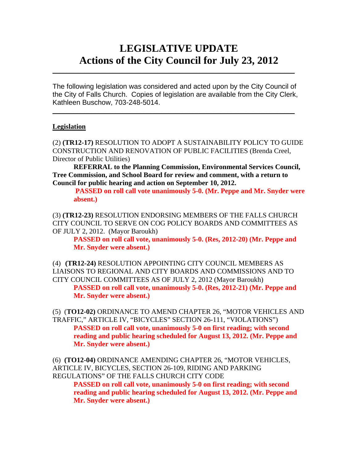# **LEGISLATIVE UPDATE Actions of the City Council for July 23, 2012**

The following legislation was considered and acted upon by the City Council of the City of Falls Church. Copies of legislation are available from the City Clerk, Kathleen Buschow, 703-248-5014.

 $\blacksquare$ 

 $\mathcal{L}_\text{max}$  and  $\mathcal{L}_\text{max}$  and  $\mathcal{L}_\text{max}$  and  $\mathcal{L}_\text{max}$  and  $\mathcal{L}_\text{max}$  and  $\mathcal{L}_\text{max}$ 

### **Legislation**

(2) **(TR12-17)** RESOLUTION TO ADOPT A SUSTAINABILITY POLICY TO GUIDE CONSTRUCTION AND RENOVATION OF PUBLIC FACILITIES (Brenda Creel, Director of Public Utilities)

**REFERRAL to the Planning Commission, Environmental Services Council, Tree Commission, and School Board for review and comment, with a return to Council for public hearing and action on September 10, 2012.** 

 **PASSED on roll call vote unanimously 5-0. (Mr. Peppe and Mr. Snyder were absent.)** 

(3) **(TR12-23)** RESOLUTION ENDORSING MEMBERS OF THE FALLS CHURCH CITY COUNCIL TO SERVE ON COG POLICY BOARDS AND COMMITTEES AS OF JULY 2, 2012. (Mayor Baroukh)

**PASSED on roll call vote, unanimously 5-0. (Res, 2012-20) (Mr. Peppe and Mr. Snyder were absent.)** 

(4) **(TR12-24)** RESOLUTION APPOINTING CITY COUNCIL MEMBERS AS LIAISONS TO REGIONAL AND CITY BOARDS AND COMMISSIONS AND TO CITY COUNCIL COMMITTEES AS OF JULY 2, 2012 (Mayor Baroukh)

**PASSED on roll call vote, unanimously 5-0. (Res, 2012-21) (Mr. Peppe and Mr. Snyder were absent.)** 

(5) (**TO12-02)** ORDINANCE TO AMEND CHAPTER 26, "MOTOR VEHICLES AND TRAFFIC," ARTICLE IV, "BICYCLES" SECTION 26-111, "VIOLATIONS") **PASSED on roll call vote, unanimously 5-0 on first reading; with second reading and public hearing scheduled for August 13, 2012. (Mr. Peppe and Mr. Snyder were absent.)** 

(6) **(TO12-04)** ORDINANCE AMENDING CHAPTER 26, "MOTOR VEHICLES, ARTICLE IV, BICYCLES, SECTION 26-109, RIDING AND PARKING REGULATIONS" OF THE FALLS CHURCH CITY CODE

**PASSED on roll call vote, unanimously 5-0 on first reading; with second reading and public hearing scheduled for August 13, 2012. (Mr. Peppe and Mr. Snyder were absent.)**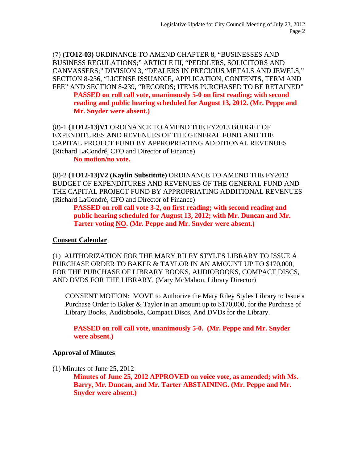(7) **(TO12-03)** ORDINANCE TO AMEND CHAPTER 8, "BUSINESSES AND BUSINESS REGULATIONS;" ARTICLE III, "PEDDLERS, SOLICITORS AND CANVASSERS;" DIVISION 3, "DEALERS IN PRECIOUS METALS AND JEWELS," SECTION 8-236, "LICENSE ISSUANCE, APPLICATION, CONTENTS, TERM AND FEE" AND SECTION 8-239, "RECORDS; ITEMS PURCHASED TO BE RETAINED" **PASSED on roll call vote, unanimously 5-0 on first reading; with second reading and public hearing scheduled for August 13, 2012. (Mr. Peppe and Mr. Snyder were absent.)** 

(8)-1 **(TO12-13)V1** ORDINANCE TO AMEND THE FY2013 BUDGET OF EXPENDITURES AND REVENUES OF THE GENERAL FUND AND THE CAPITAL PROJECT FUND BY APPROPRIATING ADDITIONAL REVENUES (Richard LaCondré, CFO and Director of Finance)

**No motion/no vote.** 

(8)-2 **(TO12-13)V2 (Kaylin Substitute)** ORDINANCE TO AMEND THE FY2013 BUDGET OF EXPENDITURES AND REVENUES OF THE GENERAL FUND AND THE CAPITAL PROJECT FUND BY APPROPRIATING ADDITIONAL REVENUES (Richard LaCondré, CFO and Director of Finance)

**PASSED on roll call vote 3-2, on first reading; with second reading and public hearing scheduled for August 13, 2012; with Mr. Duncan and Mr. Tarter voting NO. (Mr. Peppe and Mr. Snyder were absent.)** 

# **Consent Calendar**

(1) AUTHORIZATION FOR THE MARY RILEY STYLES LIBRARY TO ISSUE A PURCHASE ORDER TO BAKER & TAYLOR IN AN AMOUNT UP TO \$170,000, FOR THE PURCHASE OF LIBRARY BOOKS, AUDIOBOOKS, COMPACT DISCS, AND DVDS FOR THE LIBRARY. (Mary McMahon, Library Director)

CONSENT MOTION: MOVE to Authorize the Mary Riley Styles Library to Issue a Purchase Order to Baker & Taylor in an amount up to \$170,000, for the Purchase of Library Books, Audiobooks, Compact Discs, And DVDs for the Library.

**PASSED on roll call vote, unanimously 5-0. (Mr. Peppe and Mr. Snyder were absent.)** 

# **Approval of Minutes**

(1) Minutes of June 25, 2012

**Minutes of June 25, 2012 APPROVED on voice vote, as amended; with Ms. Barry, Mr. Duncan, and Mr. Tarter ABSTAINING. (Mr. Peppe and Mr. Snyder were absent.)**